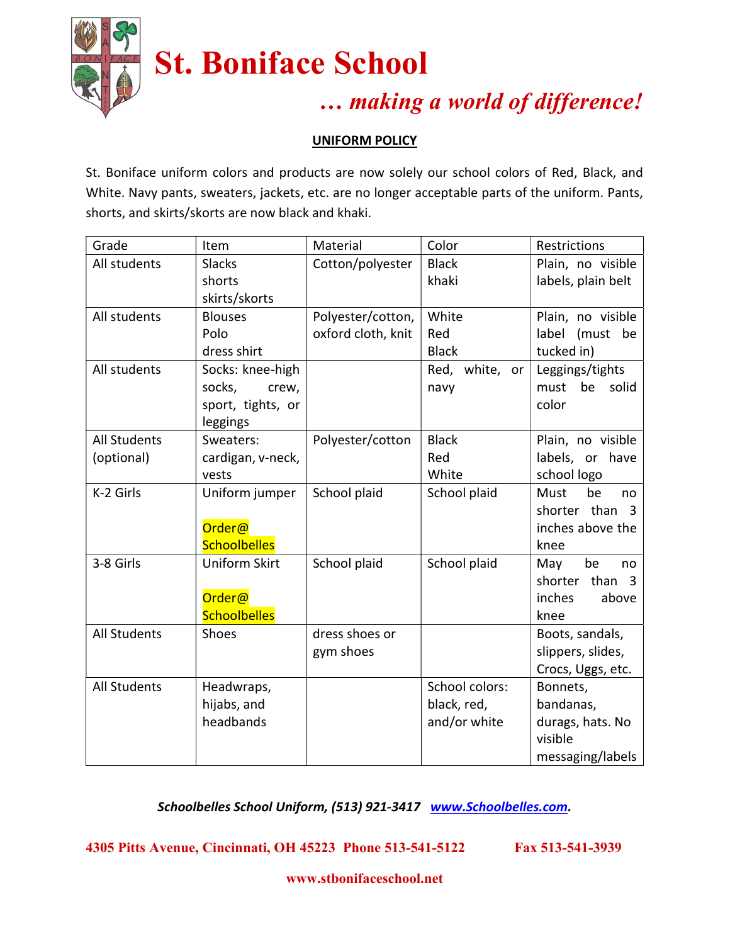

# St. Boniface School

### … making a world of difference!

#### UNIFORM POLICY

St. Boniface uniform colors and products are now solely our school colors of Red, Black, and White. Navy pants, sweaters, jackets, etc. are no longer acceptable parts of the uniform. Pants, shorts, and skirts/skorts are now black and khaki.

| Grade               | Item                 | Material           | Color          | Restrictions                            |
|---------------------|----------------------|--------------------|----------------|-----------------------------------------|
| All students        | <b>Slacks</b>        | Cotton/polyester   | <b>Black</b>   | Plain, no visible                       |
|                     | shorts               |                    | khaki          | labels, plain belt                      |
|                     | skirts/skorts        |                    |                |                                         |
| All students        | <b>Blouses</b>       | Polyester/cotton,  | White          | Plain, no visible                       |
|                     | Polo                 | oxford cloth, knit | Red            | label (must<br>be                       |
|                     | dress shirt          |                    | <b>Black</b>   | tucked in)                              |
| All students        | Socks: knee-high     |                    | Red, white, or | Leggings/tights                         |
|                     | socks,<br>crew,      |                    | navy           | be<br>must<br>solid                     |
|                     | sport, tights, or    |                    |                | color                                   |
|                     | leggings             |                    |                |                                         |
| <b>All Students</b> | Sweaters:            | Polyester/cotton   | <b>Black</b>   | Plain, no visible                       |
| (optional)          | cardigan, v-neck,    |                    | Red            | labels, or have                         |
|                     | vests                |                    | White          | school logo                             |
| K-2 Girls           | Uniform jumper       | School plaid       | School plaid   | be<br>Must<br>no                        |
|                     |                      |                    |                | shorter than 3                          |
|                     | Order@               |                    |                | inches above the                        |
|                     | <b>Schoolbelles</b>  |                    |                | knee                                    |
| 3-8 Girls           | <b>Uniform Skirt</b> | School plaid       | School plaid   | be<br>May<br>no                         |
|                     |                      |                    |                | shorter than<br>$\overline{\mathbf{3}}$ |
|                     | Order@               |                    |                | inches<br>above                         |
|                     | <b>Schoolbelles</b>  |                    |                | knee                                    |
| <b>All Students</b> | Shoes                | dress shoes or     |                | Boots, sandals,                         |
|                     |                      | gym shoes          |                | slippers, slides,                       |
|                     |                      |                    |                | Crocs, Uggs, etc.                       |
| <b>All Students</b> | Headwraps,           |                    | School colors: | Bonnets,                                |
|                     | hijabs, and          |                    | black, red,    | bandanas,                               |
|                     | headbands            |                    | and/or white   | durags, hats. No                        |
|                     |                      |                    |                | visible                                 |
|                     |                      |                    |                | messaging/labels                        |

Schoolbelles School Uniform, (513) 921-3417 www.Schoolbelles.com.

4305 Pitts Avenue, Cincinnati, OH 45223 Phone 513-541-5122 Fax 513-541-3939

www.stbonifaceschool.net